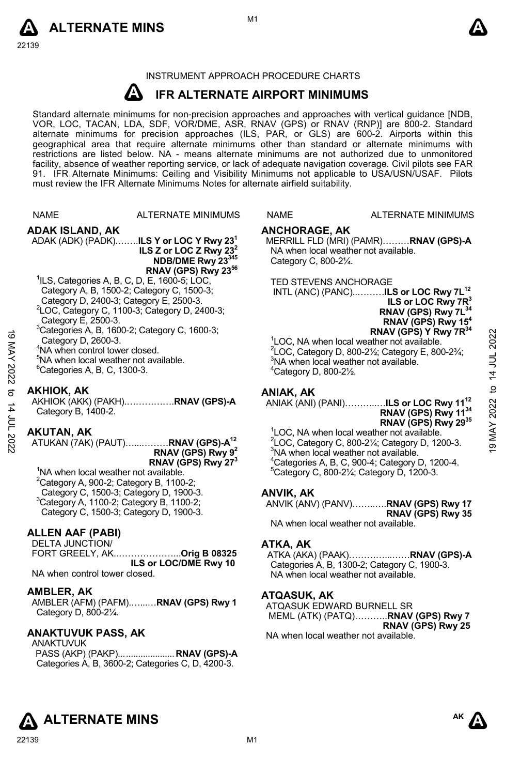



#### INSTRUMENT APPROACH PROCEDURE CHARTS

#### **A IFR ALTERNATE AIRPORT MINIMUMS**

Standard alternate minimums for non-precision approaches and approaches with vertical guidance [NDB,<br>VOR, LOC, TACAN, LDA, SDF, VOR/DME, ASR, RNAV (GPS) or RNAV (RNP)] are 800-2. Standard alternate minimums for precision approaches (ILS, PAR, or GLS) are 600-2. Airports within this geographical area that require alternate minimums other than standard or alternate minimums with restrictions are listed below. NA - means alternate minimums are not authorized due to unmonitored facility, absence of weather reporting service, or lack of adequate navigation coverage. Civil pilots see FAR 91. IFR Alternate Minimums: Ceiling and Visibility Minimums not applicable to USA/USN/USAF. Pilots must review the IFR Alternate Minimums Notes for alternate airfield suitability.

|                       | <b>NAME</b>                                                                                                                                                                                                                                                                                                                                                                                                                                             | <b>ALTERNATE MINIMUMS</b>                                                                                                           | <b>NAME</b>                                                                                                                                                                                                                                                                                                                                                                                                                                                | <b>ALTERNATE MINIMUMS</b>                                                                                                                                                                                                                                                                                                        |                      |
|-----------------------|---------------------------------------------------------------------------------------------------------------------------------------------------------------------------------------------------------------------------------------------------------------------------------------------------------------------------------------------------------------------------------------------------------------------------------------------------------|-------------------------------------------------------------------------------------------------------------------------------------|------------------------------------------------------------------------------------------------------------------------------------------------------------------------------------------------------------------------------------------------------------------------------------------------------------------------------------------------------------------------------------------------------------------------------------------------------------|----------------------------------------------------------------------------------------------------------------------------------------------------------------------------------------------------------------------------------------------------------------------------------------------------------------------------------|----------------------|
| $\vec{0}$<br>MAY 2022 | <b>ADAK ISLAND, AK</b>                                                                                                                                                                                                                                                                                                                                                                                                                                  | ADAK (ADK) (PADK) <b>ILS Y or LOC Y Rwy 23</b><br>ILS Z or LOC Z Rwy $23^2$<br>NDB/DME Rwy 23345<br>RNAV (GPS) Rwy 23 <sup>56</sup> | <b>ANCHORAGE, AK</b><br>Category C, 800-21/4.                                                                                                                                                                                                                                                                                                                                                                                                              | MERRILL FLD (MRI) (PAMR)RNAV (GPS)-A<br>NA when local weather not available.                                                                                                                                                                                                                                                     |                      |
|                       | <sup>1</sup> ILS, Categories A, B, C, D, E, 1600-5; LOC,<br>Category A, B, 1500-2; Category C, 1500-3;<br>Category D, 2400-3; Category E, 2500-3.<br><sup>2</sup> LOC, Category C, 1100-3; Category D, 2400-3;<br>Category E, 2500-3.<br>$3$ Categories A, B, 1600-2; Category C, 1600-3;<br>Category D, 2600-3.<br><sup>4</sup> NA when control tower closed.<br><sup>5</sup> NA when local weather not available.<br>$^6$ Categories A, B, C, 1300-3. |                                                                                                                                     | <b>TED STEVENS ANCHORAGE</b><br>INTL (ANC) (PANC)ILS or LOC Rwy 7L <sup>12</sup><br>ILS or LOC Rwy 7R <sup>3</sup><br>RNAV (GPS) Rwy 7L <sup>34</sup><br>RNAV (GPS) Rwy 15 <sup>4</sup><br>RNAV (GPS) Y Rwy 7R34<br><sup>1</sup> LOC, NA when local weather not available.<br>$2^2$ LOC, Category D, 800-2 $\frac{1}{2}$ ; Category E, 800-2 $\frac{3}{4}$ ;<br><sup>3</sup> NA when local weather not available.<br>$4$ Category D, 800-2 $\frac{1}{2}$ . |                                                                                                                                                                                                                                                                                                                                  | 2022<br>14 JUL       |
| ಕ                     | <b>AKHIOK, AK</b><br>Category B, 1400-2.                                                                                                                                                                                                                                                                                                                                                                                                                | AKHIOK (AKK) (PAKH)RNAV (GPS)-A                                                                                                     | ANIAK, AK                                                                                                                                                                                                                                                                                                                                                                                                                                                  | ANIAK (ANI) (PANI)ILS or LOC Rwy 11 <sup>12</sup><br>RNAV (GPS) Rwy 11 <sup>34</sup>                                                                                                                                                                                                                                             | $\mathbf{c}$<br>2022 |
| 14 JUL 2022           | AKUTAN, AK<br>ATUKAN (7AK) (PAUT)RNAV (GPS)-A <sup>12</sup><br>RNAV (GPS) Rwy $9^2$<br>RNAV (GPS) Rwy 27 <sup>3</sup><br><sup>1</sup> NA when local weather not available.                                                                                                                                                                                                                                                                              |                                                                                                                                     |                                                                                                                                                                                                                                                                                                                                                                                                                                                            | RNAV (GPS) Rwy 2935<br><sup>1</sup> LOC, NA when local weather not available.<br>$2$ LOC, Category C, 800-2 $\frac{1}{4}$ ; Category D, 1200-3.<br><sup>3</sup> NA when local weather not available.<br><sup>4</sup> Categories A, B, C, 900-4; Category D, 1200-4.<br>$5$ Category C, 800-2 $\frac{1}{4}$ ; Category D, 1200-3. | <b>T9 MAY</b>        |
|                       | $2$ Category A, 900-2; Category B, 1100-2;<br>Category C, 1500-3; Category D, 1900-3.<br><sup>3</sup> Category A, 1100-2; Category B, 1100-2;<br>Category C, 1500-3; Category D, 1900-3.                                                                                                                                                                                                                                                                |                                                                                                                                     | <b>ANVIK, AK</b>                                                                                                                                                                                                                                                                                                                                                                                                                                           | ANVIK (ANV) (PANV)RNAV (GPS) Rwy 17<br>RNAV (GPS) Rwy 35<br>NA when local weather not available.                                                                                                                                                                                                                                 |                      |
|                       | <b>ALLEN AAF (PABI)</b><br>DELTA JUNCTION/                                                                                                                                                                                                                                                                                                                                                                                                              |                                                                                                                                     | ATKA, AK                                                                                                                                                                                                                                                                                                                                                                                                                                                   |                                                                                                                                                                                                                                                                                                                                  |                      |
|                       | FORT GREELY, AK.                                                                                                                                                                                                                                                                                                                                                                                                                                        | Orig B 08325                                                                                                                        | ATKA (AKA) (PAAK)                                                                                                                                                                                                                                                                                                                                                                                                                                          | <b>RNAV (GPS)-A</b>                                                                                                                                                                                                                                                                                                              |                      |

 **ILS or LOC/DME Rwy 10**  ATKA (AKA) (PAAK)…………...……**RNAV (GPS)-A**  Categories A, B, 1300-2; Category C, 1900-3. NA when local weather not available.

#### **ATQASUK, AK**

ATQASUK EDWARD BURNELL SR MEML (ATK) (PATQ)………..**RNAV (GPS) Rwy 7 RNAV (GPS) Rwy 25**  NA when local weather not available.

## **ALTERNATE MINS**

NA when control tower closed.

AMBLER (AFM) (PAFM).…...…**RNAV (GPS) Rwy 1**

PASS (AKP) (PAKP)... .................... **RNAV (GPS)-A**  Categories A, B, 3600-2; Categories C, D, 4200-3.

**AMBLER, AK** 

ANAKTUVUK

Category D, 800-2¼. **ANAKTUVUK PASS, AK** 

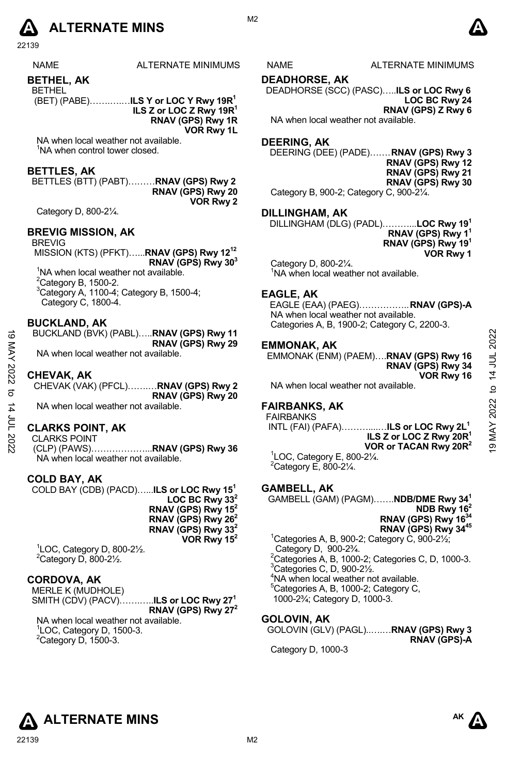

22139

|  | N∆M |  |
|--|-----|--|

NAME ALTERNATE MINIMUMS NAME ALTERNATE MINIMUMS

**BETHEL, AK** 

BETHEL

 (BET) (PABE)…….….…**ILS Y or LOC Y Rwy 19R1 ILS Z or LOC Z Rwy 19R1 RNAV (GPS) Rwy 1R** 

**VOR Rwy 1L** 

NA when local weather not available. <sup>1</sup>NA when control tower closed.

#### **BETTLES, AK**

BETTLES (BTT) (PABT)………**RNAV (GPS) Rwy 2 RNAV (GPS) Rwy 20 VOR Rwy 2** 

Category D, 800-2¼.

#### **BREVIG MISSION, AK**

BREVIG

 MISSION (KTS) (PFKT)…...**RNAV (GPS) Rwy 1212 RNAV (GPS) Rwy 303**  <sup>1</sup>NA when local weather not available.  $2$ Category B, 1500-2. 3 Category A, 1100-4; Category B, 1500-4; Category C, 1800-4.

#### **BUCKLAND, AK**

BUCKLAND (BVK) (PABL)…..**RNAV (GPS) Rwy 11 RNAV (GPS) Rwy 29** 

NA when local weather not available.

#### **CHEVAK, AK**

CHEVAK (VAK) (PFCL)…….…**RNAV (GPS) Rwy 2 RNAV (GPS) Rwy 20**  NA when local weather not available.

**CLARKS POINT, AK** 

CLARKS POINT (CLP) (PAWS)………………...**RNAV (GPS) Rwy 36** 

NA when local weather not available.

#### **COLD BAY, AK**

COLD BAY (CDB) (PACD)…...**ILS or LOC Rwy 151 LOC BC Rwy 332 RNAV (GPS) Rwy 152 RNAV (GPS) Rwy 262 RNAV (GPS) Rwy 332 VOR Rwy 152**  1 LOC, Category D, 800-2½.

 $2$ Category D, 800-2 $\frac{1}{2}$ .

#### **CORDOVA, AK**

MERLE K (MUDHOLE) SMITH (CDV) (PACV)…….…..**ILS or LOC Rwy 271 RNAV (GPS) Rwy 272** 

NA when local weather not available. 1 LOC, Category D, 1500-3.  $2$ Category D, 1500-3.

#### **DEADHORSE, AK**

DEADHORSE (SCC) (PASC)…..**ILS or LOC Rwy 6 LOC BC Rwy 24 RNAV (GPS) Z Rwy 6** NA when local weather not available.

#### **DEERING, AK**

DEERING (DEE) (PADE)…… . **RNAV (GPS) Rwy 3 RNAV (GPS) Rwy 12 RNAV (GPS) Rwy 21 RNAV (GPS) Rwy 30**  Category B, 900-2; Category C, 900-2¼.

#### **DILLINGHAM, AK**

DILLINGHAM (DLG) (PADL)………...**LOC Rwy 191 RNAV (GPS) Rwy 11 RNAV (GPS) Rwy 191 VOR Rwy 1**

Category D, 800-2¼. <sup>1</sup>NA when local weather not available.

#### **EAGLE, AK**

EAGLE (EAA) (PAEG)…………….. **RNAV (GPS)-A**  NA when local weather not available. Categories A, B, 1900-2; Category C, 2200-3.

#### **EMMONAK, AK**

EMMONAK (ENM) (PAEM)….**RNAV (GPS) Rwy 16 RNAV (GPS) Rwy 34 VOR Rwy 16** 

NA when local weather not available.

#### **FAIRBANKS, AK**

FAIRBANKS INTL (FAI) (PAFA)………....…**ILS or LOC Rwy 2L1 ILS Z or LOC Z Rwy 20R1 VOR or TACAN Rwy 20R2**  1 LOC, Category E, 800-2¼. 19 MAY 2022 to 14 JUL 202219 MAY 2022 to 14 JUL 2022

 $2$ Category E, 800-2 $\frac{1}{4}$ .

#### **GAMBELL, AK**

GAMBELL (GAM) (PAGM)…….**NDB/DME Rwy 341 NDB Rwy 162 RNAV (GPS) Rwy 163 RNAV (GPS) Rwy 3445**   $1$ Categories A, B, 900-2; Category C, 900-2 $\frac{1}{2}$ ;

Category D, 900-2¾.  $^{2}$ Categories A, B, 1000-2; Categories C, D, 1000-3.  $3$ Categories C, D, 900-2 $\frac{1}{2}$ . 4 NA when local weather not available. <sup>5</sup>Categories A, B, 1000-2; Category C, 1000-2¾; Category D, 1000-3.

#### **GOLOVIN, AK**

GOLOVIN (GLV) (PAGL)..….…**RNAV (GPS) Rwy 3 RNAV (GPS)-A** 

Category D, 1000-3

# **ALTERNATE MINS**



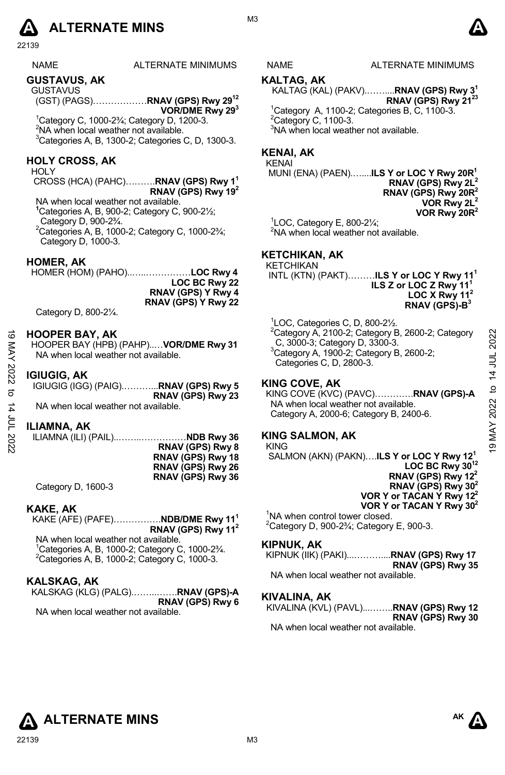### **A** ALTERNATE MINS  $\bullet$

22139

| <b>NAME</b>         | ALTERNATE MINIMU |
|---------------------|------------------|
| $A11A + A111A + B1$ |                  |

**GUSTAVUS, AK**  GUSTAVUS

(GST) (PAGS)………………**RNAV (GPS) Rwy 2912 VOR/DME Rwy 293** 

1 Category C, 1000-2¾; Category D, 1200-3. <sup>2</sup>NA when local weather not available.  $3$ Categories A, B, 1300-2; Categories C, D, 1300-3.

#### **HOLY CROSS, AK**

HOLY

CROSS (HCA) (PAHC)……….**RNAV (GPS) Rwy 11 RNAV (GPS) Rwy 192**

NA when local weather not available. **1** Categories A, B, 900-2; Category C, 900-2½; Category D, 900-2¾.

2 Categories A, B, 1000-2; Category C, 1000-2¾; Category D, 1000-3.

#### **HOMER, AK**

HOMER (HOM) (PAHO)..…..……………**LOC Rwy 4 LOC BC Rwy 22 RNAV (GPS) Y Rwy 4 RNAV (GPS) Y Rwy 22**

Category D, 800-2¼.

#### **HOOPER BAY, AK**

HOOPER BAY (HPB) (PAHP)..…**VOR/DME Rwy 31**  NA when local weather not available.

#### **IGIUGIG, AK**

IGIUGIG (IGG) (PAIG).………...**RNAV (GPS) Rwy 5 RNAV (GPS) Rwy 23**  NA when local weather not available.

**ILIAMNA, AK** 

ILIAMNA (ILI) (PAIL)..……..……………**NDB Rwy 36 RNAV (GPS) Rwy 8 RNAV (GPS) Rwy 18 RNAV (GPS) Rwy 26 RNAV (GPS) Rwy 36** 

Category D, 1600-3

#### **KAKE, AK**

KAKE (AFE) (PAFE)…………….**NDB/DME Rwy 111 RNAV (GPS) Rwy 112** NA when local weather not available. <sup>1</sup> Categories A, B, 1000-2; Category C, 1000-2<sup>3</sup>/<sub>4</sub>.<br><sup>2</sup> Categories A, B, 1000-2; Category C, 1000-2.  $2C$ ategories A, B, 1000-2; Category C, 1000-3.

#### **KALSKAG, AK**

| KALSKAG (KLG) (PALG) <b>RNAV (GPS)-A</b> |                         |
|------------------------------------------|-------------------------|
|                                          | <b>RNAV (GPS) Rwy 6</b> |
| NA whop local woather not available      |                         |

NA when local weather not available.

#### **KALTAG, AK**

KALTAG (KAL) (PAKV).……....**RNAV (GPS) Rwy 31 RNAV (GPS) Rwy 2123** 1 Category A, 1100-2; Categories B, C, 1100-3.  $2$ Category C, 1100-3.

<sup>3</sup>NA when local weather not available.

#### **KENAI, AK**

#### KENAI

 MUNI (ENA) (PAEN).…....**ILS Y or LOC Y Rwy 20R1 RNAV (GPS) Rwy 2L2 RNAV (GPS) Rwy 20R2 VOR Rwy 2L2 VOR Rwy 20R2** 

 ${}^{1}$ LOC, Category E, 800-2 $\frac{1}{4}$ ; <sup>2</sup>NA when local weather not available.

#### **KETCHIKAN, AK**

KETCHIKAN

 INTL (KTN) (PAKT)………**ILS Y or LOC Y Rwy 111 ILS Z or LOC Z Rwy 11 LOC X Rwy 11<sup>2</sup> RNAV (GPS)-B3**

1 LOC, Categories C, D, 800-2½.  $2$ Category A, 2100-2; Category B, 2600-2; Category C, 3000-3; Category D, 3300-3.  $3$ Category A, 1900-2; Category B, 2600-2; Categories C, D, 2800-3. HOOPER BAY, AK<br>
HOOPER BAY (HPB) (PAHP)....VOR/DME Rwy 31<br>
Ma when local weather not available.<br>
NA when local weather not available.<br>
Category A, 1900-3; Category B, 2600-2;<br>
Category A, 1900-2; Category B, 2600-2;<br>
Ca

#### **KING COVE, AK**

KING COVE (KVC) (PAVC)………….**RNAV (GPS)-A**  NA when local weather not available. Category A, 2000-6; Category B, 2400-6.

#### **KING SALMON, AK**

KING SALMON (AKN) (PAKN)….**ILS Y or LOC Y Rwy 121 LOC BC Rwy 3012 RNAV (GPS) Rwy 122 RNAV (GPS) Rwy 302**

 **VOR Y or TACAN Y Rwy 122 VOR Y or TACAN Y Rwy 302**

<sup>1</sup>NA when control tower closed.  $^{2}$ Category D, 900-2¾; Category E, 900-3.

#### **KIPNUK, AK**

KIPNUK (IIK) (PAKI)...………....**RNAV (GPS) Rwy 17 RNAV (GPS) Rwy 35**  NA when local weather not available.

#### **KIVALINA, AK**

KIVALINA (KVL) (PAVL)...……..**RNAV (GPS) Rwy 12 RNAV (GPS) Rwy 30**  NA when local weather not available.

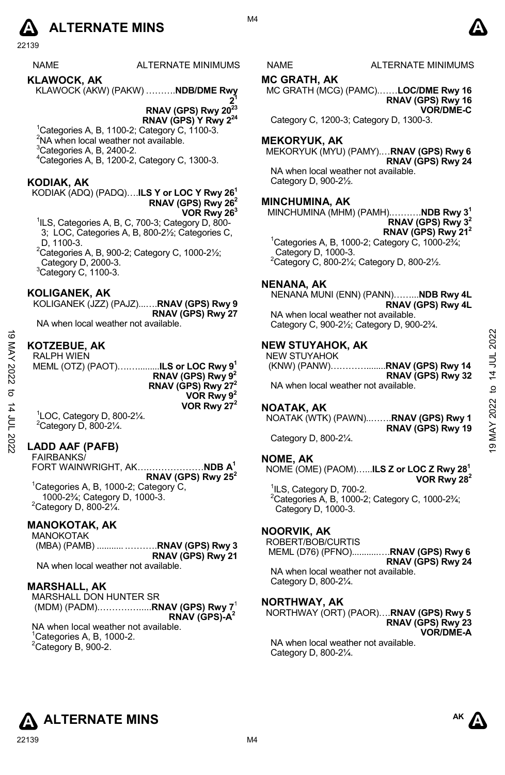### **A** ALTERNATE MINS  $\bullet$

22139

NAME ALTERNATE MINIMUMS NAME ALTERNATE MINIMUMS

**KLAWOCK, AK**  KLAWOCK (AKW) (PAKW) ……….**NDB/DME Rwy** 

**21 RNAV (GPS) Rwy 2023 RNAV (GPS) Y Rwy 224** 

1 Categories A, B, 1100-2; Category C, 1100-3.  $2$ NA when local weather not available.  ${}^{3}$ Categories A, B, 2400-2.

4 Categories A, B, 1200-2, Category C, 1300-3.

#### **KODIAK, AK**

#### KODIAK (ADQ) (PADQ)….**ILS Y or LOC Y Rwy 261 RNAV (GPS) Rwy 262 VOR Rwy 263**

<sup>1</sup>ILS, Categories A, B, C, 700-3; Category D, 800-3; LOC, Categories A, B, 800-2½; Categories C, D, 1100-3.

 $2^2$ Categories A, B, 900-2; Category C, 1000-2 $\frac{1}{2}$ ; Category D, 2000-3.

 $3$ Category C, 1100-3.

#### **KOLIGANEK, AK**

KOLIGANEK (JZZ) (PAJZ)...….**RNAV (GPS) Rwy 9 RNAV (GPS) Rwy 27** 

NA when local weather not available.

#### **KOTZEBUE, AK**

RALPH WIEN

MEML (OTZ) (PAOT)….….........**ILS or LOC Rwy 91 RNAV (GPS) Rwy 92 RNAV (GPS) Rwy 272 VOR Rwy 92 VOR Rwy 272** 

1 LOC, Category D, 800-2¼.  $2$ Category D, 800-2 $\frac{1}{4}$ .

#### **LADD AAF (PAFB)**

FAIRBANKS/ FORT WAINWRIGHT, AK….………………**NDB A1 RNAV (GPS) Rwy 252**  <sup>1</sup>Categories A, B, 1000-2; Category C, 1000-2¾; Category D, 1000-3.

 $2$ Category D, 800-2 $\frac{1}{4}$ .

### **MANOKOTAK, AK**

MANOKOTAK (MBA) (PAMB) ........... .……….**RNAV (GPS) Rwy 3 RNAV (GPS) Rwy 21** 

NA when local weather not available.

#### **MARSHALL, AK**

MARSHALL DON HUNTER SR (MDM) (PADM).……….….....**RNAV (GPS) Rwy 7**<sup>1</sup> **RNAV (GPS)-A2** NA when local weather not available.  $1$ Categories A, B, 1000-2.  $2$ Category B, 900-2.

#### **MC GRATH, AK**

MC GRATH (MCG) (PAMC).……**LOC/DME Rwy 16 RNAV (GPS) Rwy 16 VOR/DME-C** 

Category C, 1200-3; Category D, 1300-3.

#### **MEKORYUK, AK**

MEKORYUK (MYU) (PAMY).…**RNAV (GPS) Rwy 6 RNAV (GPS) Rwy 24** 

NA when local weather not available. Category D, 900-2½.

#### **MINCHUMINA, AK**

MINCHUMINA (MHM) (PAMH).……….**NDB Rwy 31 RNAV (GPS) Rwy 32 RNAV (GPS) Rwy 212**

1 Categories A, B, 1000-2; Category C, 1000-2¾; Category D, 1000-3. 2 Category C, 800-2¼; Category D, 800-2½.

#### **NENANA, AK**

NENANA MUNI (ENN) (PANN)……...**NDB Rwy 4L RNAV (GPS) Rwy 4L** 

NA when local weather not available. Category C, 900-2½; Category D, 900-2¾.

#### **NEW STUYAHOK, AK**

NEW STUYAHOK (KNW) (PANW)…………........**RNAV (GPS) Rwy 14 RNAV (GPS) Rwy 32**  NA when local weather not available. 19 MAY 2022 to 14 JUL 202219 MAY 2022 to 14 JUL 2022

#### **NOATAK, AK**

NOATAK (WTK) (PAWN)..…….**RNAV (GPS) Rwy 1 RNAV (GPS) Rwy 19**  Category D, 800-2¼.

#### **NOME, AK**

NOME (OME) (PAOM)…...**ILS Z or LOC Z Rwy 281 VOR Rwy 282**

 $1$ ILS, Category D, 700-2.  $2^2$ Categories A, B, 1000-2; Category C, 1000-2 $\frac{2}{4}$ ; Category D, 1000-3.

#### **NOORVIK, AK**

ROBERT/BOB/CURTIS

 MEML (D76) (PFNO)...........….**RNAV (GPS) Rwy 6 RNAV (GPS) Rwy 24** 

NA when local weather not available. Category D, 800-2¼.

#### **NORTHWAY, AK**

NORTHWAY (ORT) (PAOR)….**RNAV (GPS) Rwy 5 RNAV (GPS) Rwy 23 VOR/DME-A** 

NA when local weather not available. Category D, 800-2¼.



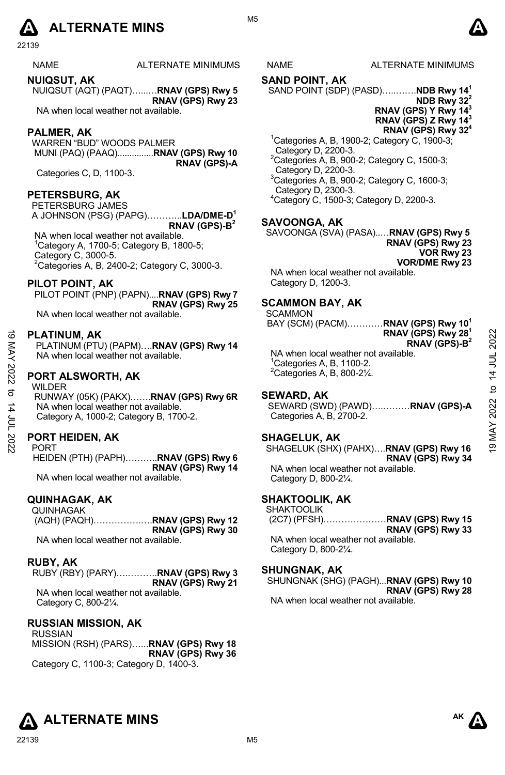### **A** ALTERNATE MINS  $\bullet$

22139

NAME ALTERNATE MINIMUMS NAME ALTERNATE MINIMUMS

**NUIQSUT, AK**  NUIQSUT (AQT) (PAQT)…...…**RNAV (GPS) Rwy 5 RNAV (GPS) Rwy 23** 

NA when local weather not available.

#### **PALMER, AK**

WARREN "BUD" WOODS PALMER MUNI (PAQ) (PAAQ)...............**RNAV (GPS) Rwy 10 RNAV (GPS)-A** 

Categories C, D, 1100-3.

#### **PETERSBURG, AK**

PETERSBURG JAMES A JOHNSON (PSG) (PAPG)………...**LDA/DME-D1 RNAV (GPS)-B2**

 NA when local weather not available. 1 Category A, 1700-5; Category B, 1800-5; Category C, 3000-5.

 $2$ Categories A, B, 2400-2; Category C, 3000-3.

#### **PILOT POINT, AK**

PILOT POINT (PNP) (PAPN)....**RNAV (GPS) Rwy 7 RNAV (GPS) Rwy 25** 

NA when local weather not available.

#### **PLATINUM, AK**

PLATINUM (PTU) (PAPM)….**RNAV (GPS) Rwy 14**  NA when local weather not available.

#### **PORT ALSWORTH, AK**

WILDER RUNWAY (05K) (PAKX)…….**RNAV (GPS) Rwy 6R**  NA when local weather not available. Category A, 1000-2; Category B, 1700-2. **19 PLATINUM, AK**<br>
PLATINUM (PTU) (PAPM)....RNAV (GPS) Rwy 14<br>
PLATINUM (PTU) (PAPM)....RNAV (GPS) Rwy 14<br>
NA when local weather not available.<br>
<sup>2</sup>Categories A, B, 300-2¼.<br>
<sup>2</sup>Categories A, B, 800-2¼.<br>
<sup>2</sup>Categories A,

#### **PORT HEIDEN, AK**

**PORT** HEIDEN (PTH) (PAPH)………..**RNAV (GPS) Rwy 6 RNAV (GPS) Rwy 14**  NA when local weather not available.

#### **QUINHAGAK, AK**

QUINHAGAK (AQH) (PAQH)…………….….**RNAV (GPS) Rwy 12 RNAV (GPS) Rwy 30**  NA when local weather not available.

#### **RUBY, AK**

RUBY (RBY) (PARY)….……….**RNAV (GPS) Rwy 3 RNAV (GPS) Rwy 21** 

NA when local weather not available. Category C, 800-2¼.

#### **RUSSIAN MISSION, AK**

RUSSIAN MISSION (RSH) (PARS)…...**RNAV (GPS) Rwy 18 RNAV (GPS) Rwy 36** Category C, 1100-3; Category D, 1400-3.

#### **SAND POINT, AK**

SAND POINT (SDP) (PASD)…..…….**NDB Rwy 141**

- **NDB Rwy 322**
- **RNAV (GPS) Y Rwy 143 RNAV (GPS) Z Rwy 143**
- **RNAV (GPS) Rwy 324**
- 1 Categories A, B, 1900-2; Category C, 1900-3; Category D, 2200-3. <sup>2</sup>Categories A, B, 900-2; Category C, 1500-3;<br><sub>-</sub> Category D, 2200-3.
- 3 Categories A, B, 900-2; Category C, 1600-3; Category D, 2300-3.
- 4 Category C, 1500-3; Category D, 2200-3.

#### **SAVOONGA, AK**

SAVOONGA (SVA) (PASA)..…**RNAV (GPS) Rwy 5 RNAV (GPS) Rwy 23 VOR Rwy 23 VOR/DME Rwy 23** 

NA when local weather not available. Category D, 1200-3.

#### **SCAMMON BAY, AK**

**SCAMMON** 

BAY (SCM) (PACM)…………**RNAV (GPS) Rwy 101 RNAV (GPS) Rwy 281 RNAV (GPS)-B2**

NA when local weather not available. 1 Categories A, B, 1100-2.  ${}^{2}$ Categories A, B, 800-2 $\frac{1}{4}$ .

#### **SEWARD, AK**

SEWARD (SWD) (PAWD)….………**RNAV (GPS)-A**  Categories A, B, 2700-2.

#### **SHAGELUK, AK**

SHAGELUK (SHX) (PAHX)….**RNAV (GPS) Rwy 16 RNAV (GPS) Rwy 34**  NA when local weather not available. Category D, 800-2¼.

#### **SHAKTOOLIK, AK**

SHAKTOOLIK (2C7) (PFSH)…………………**RNAV (GPS) Rwy 15 RNAV (GPS) Rwy 33**  NA when local weather not available.

Category D, 800-2¼.

#### **SHUNGNAK, AK**

SHUNGNAK (SHG) (PAGH)...**RNAV (GPS) Rwy 10 RNAV (GPS) Rwy 28**  NA when local weather not available.



**AK** 



M5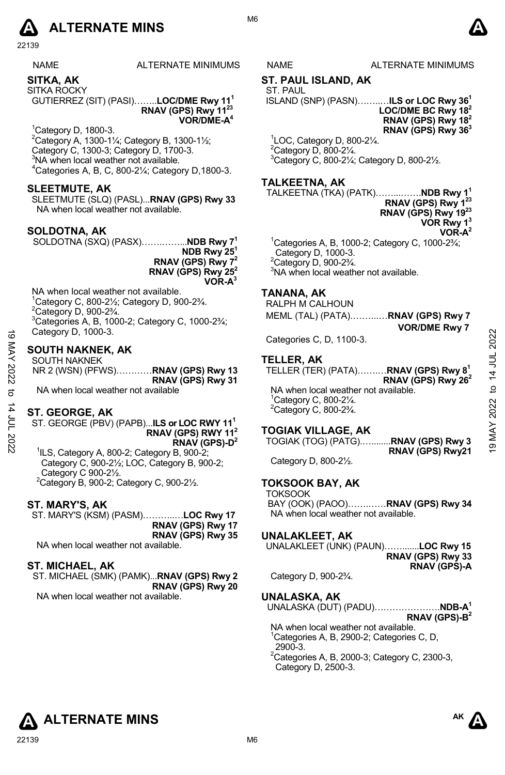

22139

**SITKA, AK**  SITKA ROCKY

GUTIERREZ (SIT) (PASI)……..**LOC/DME Rwy 111 RNAV (GPS) Rwy 1123 VOR/DME-A4**

1 Category D, 1800-3. <sup>2</sup> Category A, 1300-11⁄<sub>4</sub>; Category B, 1300-11⁄<sub>2</sub>; Category C, 1300-3; Category D, 1700-3.<br><sup>3</sup>NA when local weather not available.  $4$ Categories A, B, C, 800-2¼; Category D,1800-3.

#### **SLEETMUTE, AK**

SLEETMUTE (SLQ) (PASL)...**RNAV (GPS) Rwy 33**  NA when local weather not available.

#### **SOLDOTNA, AK**

SOLDOTNA (SXQ) (PASX)…….……...**NDB Rwy 71**

**NDB Rwy 251 RNAV (GPS) Rwy 72 RNAV (GPS) Rwy 252 VOR-A3**

NA when local weather not available.  $1$ Category C, 800-2 $\frac{1}{2}$ ; Category D, 900-2 $\frac{3}{4}$ .  $2^2$ Category D, 900-2 $\frac{3}{4}$ .  $3$ Categories A, B, 1000-2; Category C, 1000-2 $\frac{3}{4}$ ; Category D, 1000-3.

#### **SOUTH NAKNEK, AK**

| ಹ      | Category D, 1000-3.                                   |                                                  |              |
|--------|-------------------------------------------------------|--------------------------------------------------|--------------|
|        |                                                       | Categories C, D, 1100-3.                         | 202          |
| ⋚      | <b>SOUTH NAKNEK, AK</b>                               |                                                  |              |
| ≺      | <b>SOUTH NAKNEK</b>                                   | <b>TELLER, AK</b>                                |              |
|        |                                                       |                                                  | <b>UL 41</b> |
| 2022   | NR 2 (WSN) (PFWS)RNAV (GPS) Rwy 13                    | TELLER (TER) (PATA)RNAV (GPS) Rwy 8 <sup>1</sup> |              |
|        | RNAV (GPS) Rwy 31                                     | RNAV (GPS) Rwy 26 <sup>2</sup>                   |              |
| ನ      | NA when local weather not available                   | NA when local weather not available.             | ೆ            |
|        |                                                       | <sup>1</sup> Category C, 800-21/4.               |              |
|        |                                                       | $2$ Category C, 800-2 $\frac{3}{4}$ .            |              |
|        | <b>ST. GEORGE, AK</b>                                 |                                                  | 2022         |
| וחר 14 | ST. GEORGE (PBV) (PAPB)ILS or LOC RWY 11 <sup>1</sup> |                                                  |              |
|        | RNAV (GPS) RWY 11 <sup>2</sup>                        | <b>TOGIAK VILLAGE, AK</b>                        |              |
|        |                                                       |                                                  |              |
|        | $\overline{RNAV}$ (GPS)-D <sup>2</sup>                | TOGIAK (TOG) (PATG)RNAV (GPS) Rwy 3              | AN 61        |
|        | $\frac{1}{10}$ C Category A 200 2: Category R 000 2:  | RNAV (GPS) Rwy21                                 |              |

#### **ST. GEORGE, AK**

1 ILS, Category A, 800-2; Category B, 900-2; Category C, 900-2½; LOC, Category B, 900-2; Category C 900-2½.  $2$ Category B, 900-2; Category C, 900-2 $\frac{1}{2}$ .

#### **ST. MARY'S, AK**

ST. MARY'S (KSM) (PASM)………..…**LOC Rwy 17 RNAV (GPS) Rwy 17 RNAV (GPS) Rwy 35**  NA when local weather not available.

#### **ST. MICHAEL, AK**

ST. MICHAEL (SMK) (PAMK)...**RNAV (GPS) Rwy 2 RNAV (GPS) Rwy 20**  NA when local weather not available.

S NAME ALTERNATE MINIMUMS

#### **ST. PAUL ISLAND, AK**

ST. PAUL ISLAND (SNP) (PASN)……..…**ILS or LOC Rwy 361**

**LOC/DME BC Rwy 182 RNAV (GPS) Rwy 182 RNAV (GPS) Rwy 363**

1 LOC, Category D, 800-2¼.  $2$ Category D, 800-2 $\frac{1}{4}$ . 3 Category C, 800-2¼; Category D, 800-2½.

#### **TALKEETNA, AK**

TALKEETNA (TKA) (PATK)……...…….**NDB Rwy 11 RNAV (GPS) Rwy 1 RNAV (GPS) Rwy 1923** 

**VOR Rwy 13**

 **VOR/DME Rwy 7**

**VOR-A2**

1 Categories A, B, 1000-2; Category C, 1000-2¾; Category D, 1000-3.  $2$ Category D, 900-2 $\frac{3}{4}$ .

<sup>3</sup>NA when local weather not available.

#### **TANANA, AK**

RALPH M CALHOUN MEML (TAL) (PATA).……...…**RNAV (GPS) Rwy 7** 

#### **TELLER, AK**

#### **TOGIAK VILLAGE, AK**

TOGIAK (TOG) (PATG).…........**RNAV (GPS) Rwy 3 RNAV (GPS) Rwy21** 

Category D, 800-2½.

#### **TOKSOOK BAY, AK TOKSOOK**

BAY (OOK) (PAOO)…….……**RNAV (GPS) Rwy 34**  NA when local weather not available.

#### **UNALAKLEET, AK**

| UNALAKLEET (UNK) (PAUN)LOC Rwy 15               |                     |
|-------------------------------------------------|---------------------|
|                                                 | RNAV (GPS) Rwy 33   |
|                                                 | <b>RNAV (GPS)-A</b> |
| Category D, 900-2 <sup>3</sup> / <sub>4</sub> . |                     |

#### **UNALASKA, AK**

UNALASKA (DUT) (PADU)………………….**NDB-A1 RNAV (GPS)-B2**  NA when local weather not available. <sup>1</sup>Categories A, B, 2900-2; Categories C, D, 2900-3.  $2$ Categories A, B, 2000-3; Category C, 2300-3, Category D, 2500-3.